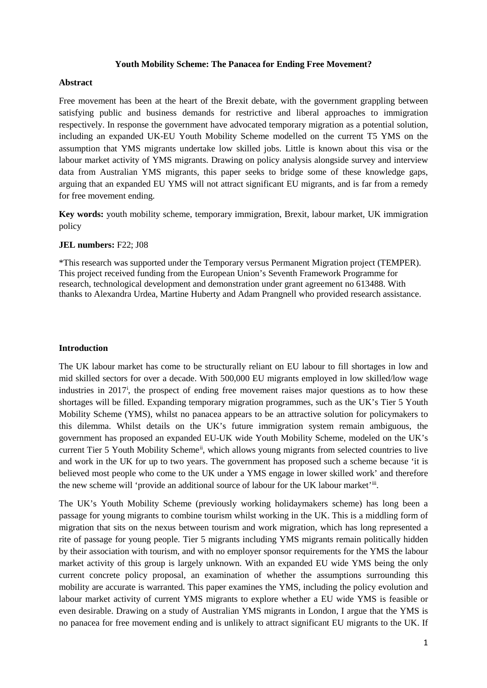#### **Youth Mobility Scheme: The Panacea for Ending Free Movement?**

#### **Abstract**

Free movement has been at the heart of the Brexit debate, with the government grappling between satisfying public and business demands for restrictive and liberal approaches to immigration respectively. In response the government have advocated temporary migration as a potential solution, including an expanded UK-EU Youth Mobility Scheme modelled on the current T5 YMS on the assumption that YMS migrants undertake low skilled jobs. Little is known about this visa or the labour market activity of YMS migrants. Drawing on policy analysis alongside survey and interview data from Australian YMS migrants, this paper seeks to bridge some of these knowledge gaps, arguing that an expanded EU YMS will not attract significant EU migrants, and is far from a remedy for free movement ending.

**Key words:** youth mobility scheme, temporary immigration, Brexit, labour market, UK immigration policy

#### **JEL numbers:** F22; J08

\*This research was supported under the Temporary versus Permanent Migration project (TEMPER). This project received funding from the European Union's Seventh Framework Programme for research, technological development and demonstration under grant agreement no 613488. With thanks to Alexandra Urdea, Martine Huberty and Adam Prangnell who provided research assistance.

#### **Introduction**

The UK labour market has come to be structurally reliant on EU labour to fill shortages in low and mid skilled sectors for over a decade. With 500,000 EU migrants employed in low skilled/low wage [i](#page-2-0)ndustries in 2017<sup>i</sup>, the prospect of ending free movement raises major questions as to how these shortages will be filled. Expanding temporary migration programmes, such as the UK's Tier 5 Youth Mobility Scheme (YMS), whilst no panacea appears to be an attractive solution for policymakers to this dilemma. Whilst details on the UK's future immigration system remain ambiguous, the government has proposed an expanded EU-UK wide Youth Mobility Scheme, modeled on the UK's current Tier 5 Youth Mobility Scheme<sup>[ii](#page-2-1)</sup>, which allows young migrants from selected countries to live and work in the UK for up to two years. The government has proposed such a scheme because 'it is believed most people who come to the UK under a YMS engage in lower skilled work' and therefore the new scheme will 'provide an additional source of labour for the UK labour market'[iii](#page-2-2).

The UK's Youth Mobility Scheme (previously working holidaymakers scheme) has long been a passage for young migrants to combine tourism whilst working in the UK. This is a middling form of migration that sits on the nexus between tourism and work migration, which has long represented a rite of passage for young people. Tier 5 migrants including YMS migrants remain politically hidden by their association with tourism, and with no employer sponsor requirements for the YMS the labour market activity of this group is largely unknown. With an expanded EU wide YMS being the only current concrete policy proposal, an examination of whether the assumptions surrounding this mobility are accurate is warranted. This paper examines the YMS, including the policy evolution and labour market activity of current YMS migrants to explore whether a EU wide YMS is feasible or even desirable. Drawing on a study of Australian YMS migrants in London, I argue that the YMS is no panacea for free movement ending and is unlikely to attract significant EU migrants to the UK. If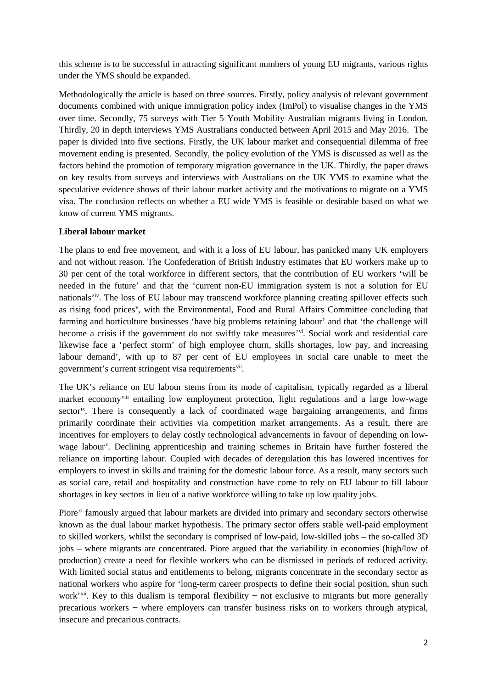this scheme is to be successful in attracting significant numbers of young EU migrants, various rights under the YMS should be expanded.

Methodologically the article is based on three sources. Firstly, policy analysis of relevant government documents combined with unique immigration policy index (ImPol) to visualise changes in the YMS over time. Secondly, 75 surveys with Tier 5 Youth Mobility Australian migrants living in London. Thirdly, 20 in depth interviews YMS Australians conducted between April 2015 and May 2016. The paper is divided into five sections. Firstly, the UK labour market and consequential dilemma of free movement ending is presented. Secondly, the policy evolution of the YMS is discussed as well as the factors behind the promotion of temporary migration governance in the UK. Thirdly, the paper draws on key results from surveys and interviews with Australians on the UK YMS to examine what the speculative evidence shows of their labour market activity and the motivations to migrate on a YMS visa. The conclusion reflects on whether a EU wide YMS is feasible or desirable based on what we know of current YMS migrants.

# **Liberal labour market**

The plans to end free movement, and with it a loss of EU labour, has panicked many UK employers and not without reason. The Confederation of British Industry estimates that EU workers make up to 30 per cent of the total workforce in different sectors, that the contribution of EU workers 'will be needed in the future' and that the 'current non-EU immigration system is not a solution for EU nationals<sup>t[iv](#page-2-3)</sup>. The loss of EU labour may transcend workforce planning creating spillover effects such as rising food prices<sup>[v](#page-2-4)</sup>, with the Environmental, Food and Rural Affairs Committee concluding that farming and horticulture businesses 'have big problems retaining labour' and that 'the challenge will become a crisis if the government do not swiftly take measures'<sup>vi</sup>. Social work and residential care likewise face a 'perfect storm' of high employee churn, skills shortages, low pay, and increasing labour demand', with up to 87 per cent of EU employees in social care unable to meet the government's current stringent visa requirements<sup>vii</sup>.

The UK's reliance on EU labour stems from its mode of capitalism, typically regarded as a liberal market economy<sup>[viii](#page-2-7)</sup> entailing low employment protection, light regulations and a large low-wage sector<sup>ix</sup>. There is consequently a lack of coordinated wage bargaining arrangements, and firms primarily coordinate their activities via competition market arrangements. As a result, there are incentives for employers to delay costly technological advancements in favour of depending on lowwage labour<sup>[x](#page-3-0)</sup>. Declining apprenticeship and training schemes in Britain have further fostered the reliance on importing labour. Coupled with decades of deregulation this has lowered incentives for employers to invest in skills and training for the domestic labour force. As a result, many sectors such as social care, retail and hospitality and construction have come to rely on EU labour to fill labour shortages in key sectors in lieu of a native workforce willing to take up low quality jobs.

Piore<sup>[xi](#page-3-1)</sup> famously argued that labour markets are divided into primary and secondary sectors otherwise known as the dual labour market hypothesis. The primary sector offers stable well-paid employment to skilled workers, whilst the secondary is comprised of low-paid, low-skilled jobs – the so-called 3D jobs – where migrants are concentrated. Piore argued that the variability in economies (high/low of production) create a need for flexible workers who can be dismissed in periods of reduced activity. With limited social status and entitlements to belong, migrants concentrate in the secondary sector as national workers who aspire for 'long-term career prospects to define their social position, shun such work<sup>'xii</sup>. Key to this dualism is temporal flexibility – not exclusive to migrants but more generally precarious workers − where employers can transfer business risks on to workers through atypical, insecure and precarious contracts.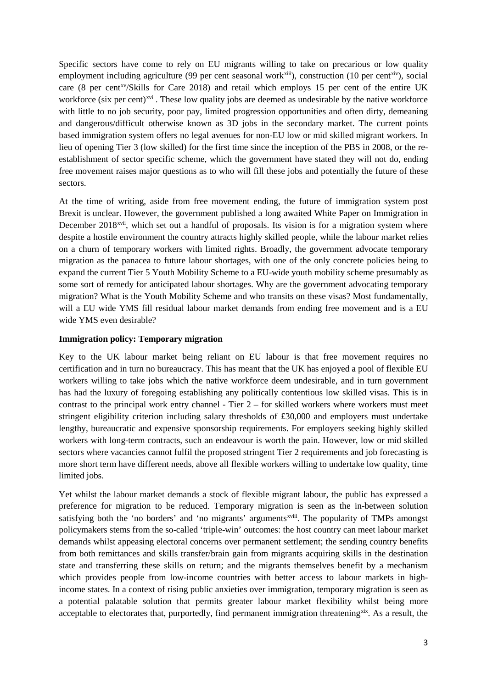Specific sectors have come to rely on EU migrants willing to take on precarious or low quality employment including agriculture (99 per cent seasonal work $\chi$ <sup>[xiii](#page-3-3)</sup>), construction (10 per cent<sup>xiv</sup>), social care (8 per cent<sup>[xv](#page-3-5)</sup>/Skills for Care 2018) and retail which employs 15 per cent of the entire UK workforce (six per cent)<sup>[xvi](#page-3-6)</sup>. These low quality jobs are deemed as undesirable by the native workforce with little to no job security, poor pay, limited progression opportunities and often dirty, demeaning and dangerous/difficult otherwise known as 3D jobs in the secondary market. The current points based immigration system offers no legal avenues for non-EU low or mid skilled migrant workers. In lieu of opening Tier 3 (low skilled) for the first time since the inception of the PBS in 2008, or the reestablishment of sector specific scheme, which the government have stated they will not do, ending free movement raises major questions as to who will fill these jobs and potentially the future of these sectors.

At the time of writing, aside from free movement ending, the future of immigration system post Brexit is unclear. However, the government published a long awaited White Paper on Immigration in December 2018<sup>xvii</sup>, which set out a handful of proposals. Its vision is for a migration system where despite a hostile environment the country attracts highly skilled people, while the labour market relies on a churn of temporary workers with limited rights. Broadly, the government advocate temporary migration as the panacea to future labour shortages, with one of the only concrete policies being to expand the current Tier 5 Youth Mobility Scheme to a EU-wide youth mobility scheme presumably as some sort of remedy for anticipated labour shortages. Why are the government advocating temporary migration? What is the Youth Mobility Scheme and who transits on these visas? Most fundamentally, will a EU wide YMS fill residual labour market demands from ending free movement and is a EU wide YMS even desirable?

#### <span id="page-2-1"></span><span id="page-2-0"></span>**Immigration policy: Temporary migration**

<span id="page-2-2"></span>Key to the UK labour market being reliant on EU labour is that free movement requires no certification and in turn no bureaucracy. This has meant that the UK has enjoyed a pool of flexible EU workers willing to take jobs which the native workforce deem undesirable, and in turn government has had the luxury of foregoing establishing any politically contentious low skilled visas. This is in contrast to the principal work entry channel - Tier 2 – for skilled workers where workers must meet stringent eligibility criterion including salary thresholds of £30,000 and employers must undertake lengthy, bureaucratic and expensive sponsorship requirements. For employers seeking highly skilled workers with long-term contracts, such an endeavour is worth the pain. However, low or mid skilled sectors where vacancies cannot fulfil the proposed stringent Tier 2 requirements and job forecasting is more short term have different needs, above all flexible workers willing to undertake low quality, time limited jobs.

<span id="page-2-8"></span><span id="page-2-7"></span><span id="page-2-6"></span><span id="page-2-5"></span><span id="page-2-4"></span><span id="page-2-3"></span>Yet whilst the labour market demands a stock of flexible migrant labour, the public has expressed a preference for migration to be reduced. Temporary migration is seen as the in-between solution satisfying both the 'no borders' and 'no migrants' arguments<sup>xviii</sup>. The popularity of TMPs amongst policymakers stems from the so-called 'triple-win' outcomes: the host country can meet labour market demands whilst appeasing electoral concerns over permanent settlement; the sending country benefits from both remittances and skills transfer/brain gain from migrants acquiring skills in the destination state and transferring these skills on return; and the migrants themselves benefit by a mechanism which provides people from low-income countries with better access to labour markets in highincome states. In a context of rising public anxieties over immigration, temporary migration is seen as a potential palatable solution that permits greater labour market flexibility whilst being more acceptable to electorates that, purportedly, find permanent immigration threatening<sup>xix</sup>. As a result, the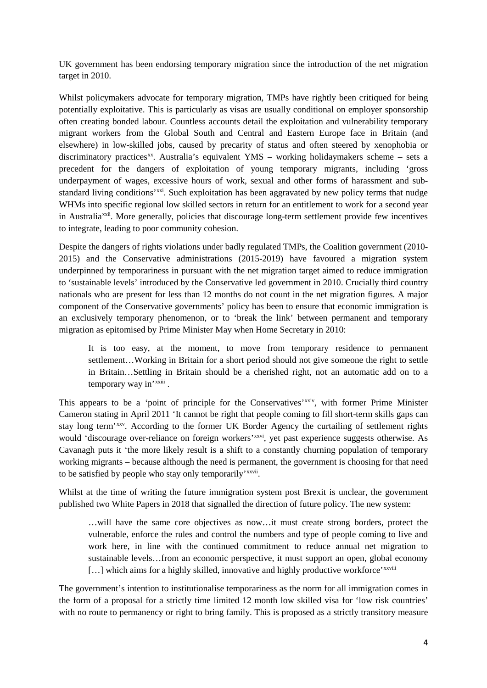UK government has been endorsing temporary migration since the introduction of the net migration target in 2010.

<span id="page-3-2"></span><span id="page-3-1"></span><span id="page-3-0"></span>Whilst policymakers advocate for temporary migration, TMPs have rightly been critiqued for being potentially exploitative. This is particularly as visas are usually conditional on employer sponsorship often creating bonded labour. Countless accounts detail the exploitation and vulnerability temporary migrant workers from the Global South and Central and Eastern Europe face in Britain (and elsewhere) in low-skilled jobs, caused by precarity of status and often steered by xenophobia or discriminatory practices<sup>[xx](#page-3-10)</sup>. Australia's equivalent YMS – working holidaymakers scheme – sets a precedent for the dangers of exploitation of young temporary migrants, including 'gross underpayment of wages, excessive hours of work, sexual and other forms of harassment and substandard living conditions'<sup>[xxi](#page-3-11)</sup>. Such exploitation has been aggravated by new policy terms that nudge WHMs into specific regional low skilled sectors in return for an entitlement to work for a second year in Australia<sup>[xxii](#page-3-12)</sup>. More generally, policies that discourage long-term settlement provide few incentives to integrate, leading to poor community cohesion.

<span id="page-3-6"></span><span id="page-3-5"></span><span id="page-3-4"></span><span id="page-3-3"></span>Despite the dangers of rights violations under badly regulated TMPs, the Coalition government (2010- 2015) and the Conservative administrations (2015-2019) have favoured a migration system underpinned by temporariness in pursuant with the net migration target aimed to reduce immigration to 'sustainable levels' introduced by the Conservative led government in 2010. Crucially third country nationals who are present for less than 12 months do not count in the net migration figures. A major component of the Conservative governments' policy has been to ensure that economic immigration is an exclusively temporary phenomenon, or to 'break the link' between permanent and temporary migration as epitomised by Prime Minister May when Home Secretary in 2010:

It is too easy, at the moment, to move from temporary residence to permanent settlement…Working in Britain for a short period should not give someone the right to settle in Britain…Settling in Britain should be a cherished right, not an automatic add on to a temporary way in'<sup>xxiii</sup>[.](#page-4-0)

<span id="page-3-9"></span><span id="page-3-8"></span><span id="page-3-7"></span>This appears to be a 'point of principle for the Conservatives'<sup>[xxiv](#page-4-1)</sup>, with former Prime Minister to be satisfied by people who stay only temporarily' xxvii. Cameron stating in April 2011 'It cannot be right that people coming to fill short-term skills gaps can stay long term'[xxv.](#page-4-2) According to the former UK Border Agency the curtailing of settlement rights would 'discourage over-reliance on foreign workers'<sup>xxvi</sup>, yet past experience suggests otherwise. As Cavanagh puts it 'the more likely result is a shift to a constantly churning population of temporary working migrants – because although the need is permanent, the government is choosing for that need

<span id="page-3-10"></span>Whilst at the time of writing the future immigration system post Brexit is unclear, the government published two White Papers in 2018 that signalled the direction of future policy. The new system:

…will have the same core objectives as now…it must create strong borders, protect the vulnerable, enforce the rules and control the numbers and type of people coming to live and work here, in line with the continued commitment to reduce annual net migration to sustainable levels…from an economic perspective, it must support an open, global economy [...] which aims for a highly skilled, innovative and highly productive workforce'<sup>xxviii</sup>

<span id="page-3-12"></span><span id="page-3-11"></span>The government's intention to institutionalise temporariness as the norm for all immigration comes in the form of a proposal for a strictly time limited 12 month low skilled visa for 'low risk countries' with no route to permanency or right to bring family. This is proposed as a strictly transitory measure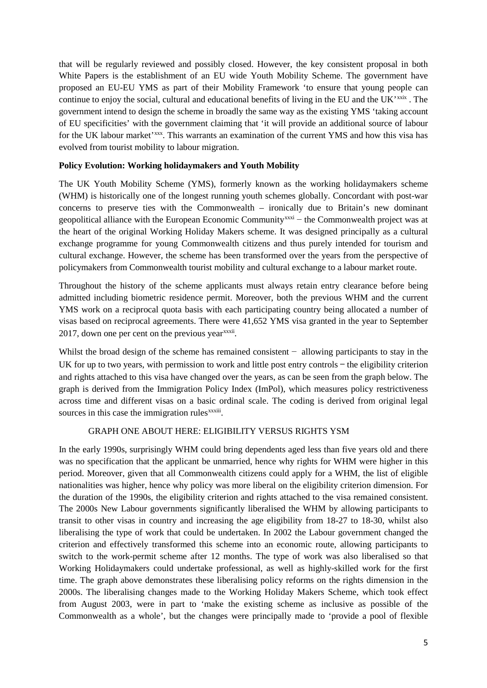<span id="page-4-0"></span>that will be regularly reviewed and possibly closed. However, the key consistent proposal in both White Papers is the establishment of an EU wide Youth Mobility Scheme. The government have proposed an EU-EU YMS as part of their Mobility Framework 'to ensure that young people can continue to enjoy the social, cultural and educational benefits of living in the EU and the UK'<sup>[xxix](#page-4-5)</sup>. The government intend to design the scheme in broadly the same way as the existing YMS 'taking account of EU specificities' with the government claiming that 'it will provide an additional source of labour for the UK labour market'<sup>xxx</sup>. This warrants an examination of the current YMS and how this visa has evolved from tourist mobility to labour migration.

# <span id="page-4-3"></span><span id="page-4-2"></span><span id="page-4-1"></span>**Policy Evolution: Working holidaymakers and Youth Mobility**

<span id="page-4-4"></span>The UK Youth Mobility Scheme (YMS), formerly known as the working holidaymakers scheme (WHM) is historically one of the longest running youth schemes globally. Concordant with post-war concerns to preserve ties with the Commonwealth – ironically due to Britain's new dominant geopolitical alliance with the European Economic Community<sup>[xxxi](#page-4-7)</sup> – the Commonwealth project was at the heart of the original Working Holiday Makers scheme. It was designed principally as a cultural exchange programme for young Commonwealth citizens and thus purely intended for tourism and cultural exchange. However, the scheme has been transformed over the years from the perspective of policymakers from Commonwealth tourist mobility and cultural exchange to a labour market route.

<span id="page-4-8"></span><span id="page-4-7"></span><span id="page-4-6"></span><span id="page-4-5"></span>Throughout the history of the scheme applicants must always retain entry clearance before being admitted including biometric residence permit. Moreover, both the previous WHM and the current YMS work on a reciprocal quota basis with each participating country being allocated a number of visas based on reciprocal agreements. There were 41,652 YMS visa granted in the year to September  $2017$ , down one per cent on the previous year<sup>xxxii</sup>.

<span id="page-4-9"></span>Whilst the broad design of the scheme has remained consistent − allowing participants to stay in the UK for up to two years, with permission to work and little post entry controls − the eligibility criterion and rights attached to this visa have changed over the years, as can be seen from the graph below. The graph is derived from the Immigration Policy Index (ImPol), which measures policy restrictiveness across time and different visas on a basic ordinal scale. The coding is derived from original legal sources in this case the immigration rules<sup>xxxiii</sup>.

### GRAPH ONE ABOUT HERE: ELIGIBILITY VERSUS RIGHTS YSM

<span id="page-4-14"></span><span id="page-4-13"></span><span id="page-4-12"></span><span id="page-4-11"></span><span id="page-4-10"></span>In the early 1990s, surprisingly WHM could bring dependents aged less than five years old and there was no specification that the applicant be unmarried, hence why rights for WHM were higher in this period. Moreover, given that all Commonwealth citizens could apply for a WHM, the list of eligible nationalities was higher, hence why policy was more liberal on the eligibility criterion dimension. For the duration of the 1990s, the eligibility criterion and rights attached to the visa remained consistent. The 2000s New Labour governments significantly liberalised the WHM by allowing participants to transit to other visas in country and increasing the age eligibility from 18-27 to 18-30, whilst also liberalising the type of work that could be undertaken. In 2002 the Labour government changed the criterion and effectively transformed this scheme into an economic route, allowing participants to switch to the work-permit scheme after 12 months. The type of work was also liberalised so that Working Holidaymakers could undertake professional, as well as highly-skilled work for the first time. The graph above demonstrates these liberalising policy reforms on the rights dimension in the 2000s. The liberalising changes made to the Working Holiday Makers Scheme, which took effect from August 2003, were in part to 'make the existing scheme as inclusive as possible of the Commonwealth as a whole', but the changes were principally made to 'provide a pool of flexible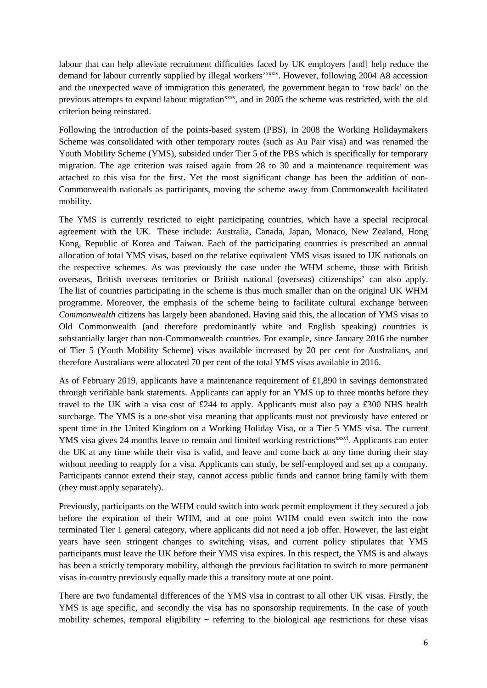labour that can help alleviate recruitment difficulties faced by UK employers [and] help reduce the demand for labour currently supplied by illegal workers'<sup>xxxiv</sup>. However, following 2004 A8 accession and the unexpected wave of immigration this generated, the government began to 'row back' on the previous attempts to expand labour migration<sup>[xxxv](#page-4-10)</sup>, and in 2005 the scheme was restricted, with the old criterion being reinstated.

<span id="page-5-1"></span><span id="page-5-0"></span>Following the introduction of the points-based system (PBS), in 2008 the Working Holidaymakers Scheme was consolidated with other temporary routes (such as Au Pair visa) and was renamed the Youth Mobility Scheme (YMS), subsided under Tier 5 of the PBS which is specifically for temporary migration. The age criterion was raised again from 28 to 30 and a maintenance requirement was attached to this visa for the first. Yet the most significant change has been the addition of non-Commonwealth nationals as participants, moving the scheme away from Commonwealth facilitated mobility.

<span id="page-5-4"></span><span id="page-5-3"></span><span id="page-5-2"></span>The YMS is currently restricted to eight participating countries, which have a special reciprocal agreement with the UK. These include: Australia, Canada, Japan, Monaco, New Zealand, Hong Kong, Republic of Korea and Taiwan. Each of the participating countries is prescribed an annual allocation of total YMS visas, based on the relative equivalent YMS visas issued to UK nationals on the respective schemes. As was previously the case under the WHM scheme, those with British overseas, British overseas territories or British national (overseas) citizenships' can also apply. The list of countries participating in the scheme is thus much smaller than on the original UK WHM programme. Moreover, the emphasis of the scheme being to facilitate cultural exchange between *Commonwealth* citizens has largely been abandoned. Having said this, the allocation of YMS visas to Old Commonwealth (and therefore predominantly white and English speaking) countries is substantially larger than non-Commonwealth countries. For example, since January 2016 the number of Tier 5 (Youth Mobility Scheme) visas available increased by 20 per cent for Australians, and therefore Australians were allocated 70 per cent of the total YMS visas available in 2016.

<span id="page-5-8"></span><span id="page-5-7"></span><span id="page-5-6"></span><span id="page-5-5"></span>As of February 2019, applicants have a maintenance requirement of £1,890 in savings demonstrated through verifiable bank statements. Applicants can apply for an YMS up to three months before they travel to the UK with a visa cost of £244 to apply. Applicants must also pay a £300 NHS health surcharge. The YMS is a one-shot visa meaning that applicants must not previously have entered or spent time in the United Kingdom on a Working Holiday Visa, or a Tier 5 YMS visa. The current YMS visa gives 24 months leave to remain and limited working restrictions<sup>xxxvi</sup>[.](#page-4-11) Applicants can enter the UK at any time while their visa is valid, and leave and come back at any time during their stay without needing to reapply for a visa. Applicants can study, be self-employed and set up a company. Participants cannot extend their stay, cannot access public funds and cannot bring family with them (they must apply separately).

<span id="page-5-10"></span><span id="page-5-9"></span>Previously, participants on the WHM could switch into work permit employment if they secured a job before the expiration of their WHM, and at one point WHM could even switch into the now terminated Tier 1 general category, where applicants did not need a job offer. However, the last eight years have seen stringent changes to switching visas, and current policy stipulates that YMS participants must leave the UK before their YMS visa expires. In this respect, the YMS is and always has been a strictly temporary mobility, although the previous facilitation to switch to more permanent visas in-country previously equally made this a transitory route at one point.

There are two fundamental differences of the YMS visa in contrast to all other UK visas. Firstly, the YMS is age specific, and secondly the visa has no sponsorship requirements. In the case of youth mobility schemes, temporal eligibility – referring to the biological age restrictions for these visas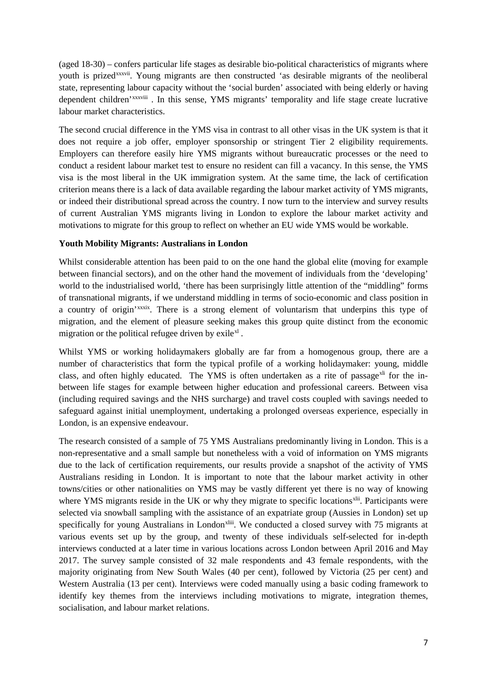(aged 18-30) – confers particular life stages as desirable bio-political characteristics of migrants where youth is prizedxxxvii. Young migrants are then constructed 'as desirable migrants of the neoliberal state, representing labour capacity without the 'social burden' associated with being elderly or having dependent children'<sup>xxxviii</sup>. In this sense, YMS migrants' temporality and life stage create lucrative labour market characteristics.

The second crucial difference in the YMS visa in contrast to all other visas in the UK system is that it does not require a job offer, employer sponsorship or stringent Tier 2 eligibility requirements. Employers can therefore easily hire YMS migrants without bureaucratic processes or the need to conduct a resident labour market test to ensure no resident can fill a vacancy. In this sense, the YMS visa is the most liberal in the UK immigration system. At the same time, the lack of certification criterion means there is a lack of data available regarding the labour market activity of YMS migrants, or indeed their distributional spread across the country. I now turn to the interview and survey results of current Australian YMS migrants living in London to explore the labour market activity and motivations to migrate for this group to reflect on whether an EU wide YMS would be workable.

# **Youth Mobility Migrants: Australians in London**

Whilst considerable attention has been paid to on the one hand the global elite (moving for example between financial sectors), and on the other hand the movement of individuals from the 'developing' world to the industrialised world, 'there has been surprisingly little attention of the "middling" forms of transnational migrants, if we understand middling in terms of socio-economic and class position in a country of origin'xxxix. There is a strong element of voluntarism that underpins this type of migration, and the element of pleasure seeking makes this group quite distinct from the economic migration or the political refugee driven by exile $x<sup>1</sup>$ .

Whilst YMS or working holidaymakers globally are far from a homogenous group, there are a number of characteristics that form the typical profile of a working holidaymaker: young, middle class, and often highly educated. The YMS is often undertaken as a rite of passage<sup>[xli](#page-4-13)</sup> for the inbetween life stages for example between higher education and professional careers. Between visa (including required savings and the NHS surcharge) and travel costs coupled with savings needed to safeguard against initial unemployment, undertaking a prolonged overseas experience, especially in London, is an expensive endeavour.

The research consisted of a sample of 75 YMS Australians predominantly living in London. This is a non-representative and a small sample but nonetheless with a void of information on YMS migrants due to the lack of certification requirements, our results provide a snapshot of the activity of YMS Australians residing in London. It is important to note that the labour market activity in other towns/cities or other nationalities on YMS may be vastly different yet there is no way of knowing where YMS migrants reside in the UK or why they migrate to specific locations<sup>[xlii](#page-4-14)</sup>. Participants were specifically for young Australians in London<sup>xliii</sup>. We conducted a closed survey with 75 migrants at selected via snowball sampling with the assistance of an expatriate group (Aussies in London) set up various events set up by the group, and twenty of these individuals self-selected for in-depth interviews conducted at a later time in various locations across London between April 2016 and May 2017. The survey sample consisted of 32 male respondents and 43 female respondents, with the majority originating from New South Wales (40 per cent), followed by Victoria (25 per cent) and Western Australia (13 per cent). Interviews were coded manually using a basic coding framework to identify key themes from the interviews including motivations to migrate, integration themes, socialisation, and labour market relations.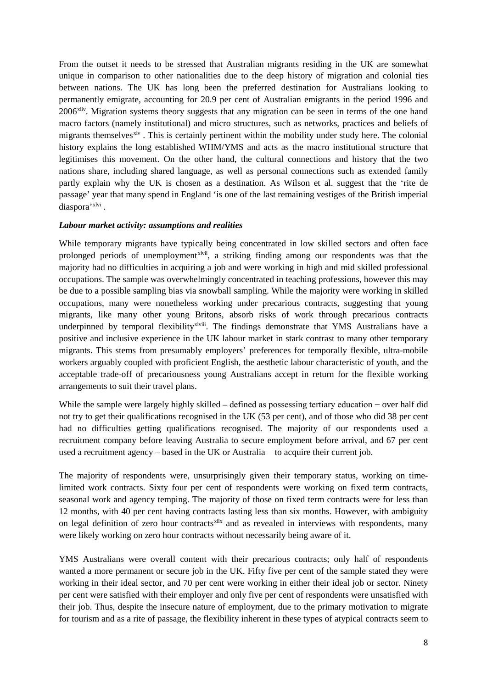From the outset it needs to be stressed that Australian migrants residing in the UK are somewhat unique in comparison to other nationalities due to the deep history of migration and colonial ties between nations. The UK has long been the preferred destination for Australians looking to permanently emigrate, accounting for 20.9 per cent of Australian emigrants in the period 1996 and 2006<sup>xliv</sup>. Migration systems theory suggests that any migration can be seen in terms of the one hand macro factors (namely institutional) and micro structures, such as networks, practices and beliefs of migrants themselves<sup>[xlv](#page-5-1)</sup>. This is certainly pertinent within the mobility under study here. The colonial history explains the long established WHM/YMS and acts as the macro institutional structure that legitimises this movement. On the other hand, the cultural connections and history that the two nations share, including shared language, as well as personal connections such as extended family partly explain why the UK is chosen as a destination. As Wilson et al. suggest that the 'rite de passage' year that many spend in England 'is one of the last remaining vestiges of the British imperial diaspora'<sup>[xlvi](#page-5-2)</sup>.

# *Labour market activity: assumptions and realities*

While temporary migrants have typically being concentrated in low skilled sectors and often face prolonged periods of unemployment<sup>xlvii</sup>, a striking finding among our respondents was that the underpinned by temporal flexibilityxlviii. The findings demonstrate that [YMS](#page-5-3) Australians have a majority had no difficulties in acquiring a job and were working in high and mid skilled professional occupations. The sample was overwhelmingly concentrated in teaching professions, however this may be due to a possible sampling bias via snowball sampling. While the majority were working in skilled occupations, many were nonetheless working under precarious contracts, suggesting that young migrants, like many other young Britons, absorb risks of work through precarious contracts positive and inclusive experience in the UK labour market in stark contrast to many other temporary migrants. This stems from presumably employers' preferences for temporally flexible, ultra-mobile workers arguably coupled with proficient English, the aesthetic labour characteristic of youth, and the acceptable trade-off of precariousness young Australians accept in return for the flexible working arrangements to suit their travel plans.

While the sample were largely highly skilled – defined as possessing tertiary education − over half did not try to get their qualifications recognised in the UK (53 per cent), and of those who did 38 per cent had no difficulties getting qualifications recognised. The majority of our respondents used a recruitment company before leaving Australia to secure employment before arrival, and 67 per cent used a recruitment agency – based in the UK or Australia − to acquire their current job.

The majority of respondents were, unsurprisingly given their temporary status, working on timelimited work contracts. Sixty four per cent of respondents were working on fixed term contracts, seasonal work and agency temping. The majority of those on fixed term contracts were for less than 12 months, with 40 per cent having contracts lasting less than six months. However, with ambiguity on legal definition of zero hour contracts<sup>[xlix](#page-5-4)</sup> and as revealed in interviews with respondents, many were likely working on zero hour contracts without necessarily being aware of it.

YMS Australians were overall content with their precarious contracts; only half of respondents wanted a more permanent or secure job in the UK. Fifty five per cent of the sample stated they were working in their ideal sector, and 70 per cent were working in either their ideal job or sector. Ninety per cent were satisfied with their employer and only five per cent of respondents were unsatisfied with their job. Thus, despite the insecure nature of employment, due to the primary motivation to migrate for tourism and as a rite of passage, the flexibility inherent in these types of atypical contracts seem to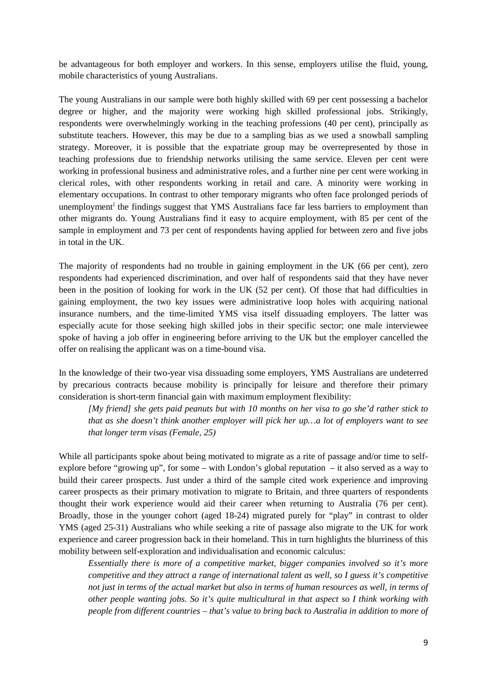be advantageous for both employer and workers. In this sense, employers utilise the fluid, young, mobile characteristics of young Australians.

The young Australians in our sample were both highly skilled with 69 per cent possessing a bachelor degree or higher, and the majority were working high skilled professional jobs. Strikingly, respondents were overwhelmingly working in the teaching professions (40 per cent), principally as substitute teachers. However, this may be due to a sampling bias as we used a snowball sampling strategy. Moreover, it is possible that the expatriate group may be overrepresented by those in teaching professions due to friendship networks utilising the same service. Eleven per cent were working in professional business and administrative roles, and a further nine per cent were working in clerical roles, with other respondents working in retail and care. A minority were working in elementary occupations. In contrast to other temporary migrants who often face prolonged periods of unemp[l](#page-5-5)oyment<sup>1</sup> the findings suggest that YMS Australians face far less barriers to employment than other migrants do. Young Australians find it easy to acquire employment, with 85 per cent of the sample in employment and 73 per cent of respondents having applied for between zero and five jobs in total in the UK.

The majority of respondents had no trouble in gaining employment in the UK (66 per cent), zero respondents had experienced discrimination, and over half of respondents said that they have never been in the position of looking for work in the UK (52 per cent). Of those that had difficulties in gaining employment, the two key issues were administrative loop holes with acquiring national insurance numbers, and the time-limited YMS visa itself dissuading employers. The latter was especially acute for those seeking high skilled jobs in their specific sector; one male interviewee spoke of having a job offer in engineering before arriving to the UK but the employer cancelled the offer on realising the applicant was on a time-bound visa.

In the knowledge of their two-year visa dissuading some employers, YMS Australians are undeterred by precarious contracts because mobility is principally for leisure and therefore their primary consideration is short-term financial gain with maximum employment flexibility:

*[My friend] she gets paid peanuts but with 10 months on her visa to go she'd rather stick to that as she doesn't think another employer will pick her up…a lot of employers want to see that longer term visas (Female, 25)*

While all participants spoke about being motivated to migrate as a rite of passage and/or time to selfexplore before "growing up", for some – with London's global reputation – it also served as a way to build their career prospects. Just under a third of the sample cited work experience and improving career prospects as their primary motivation to migrate to Britain, and three quarters of respondents thought their work experience would aid their career when returning to Australia (76 per cent). Broadly, those in the younger cohort (aged 18-24) migrated purely for "play" in contrast to older YMS (aged 25-31) Australians who while seeking a rite of passage also migrate to the UK for work experience and career progression back in their homeland. This in turn highlights the blurriness of this mobility between self-exploration and individualisation and economic calculus:

*Essentially there is more of a competitive market, bigger companies involved so it's more competitive and they attract a range of international talent as well, so I guess it's competitive not just in terms of the actual market but also in terms of human resources as well, in terms of other people wanting jobs. So it's quite multicultural in that aspect so I think working with people from different countries – that's value to bring back to Australia in addition to more of*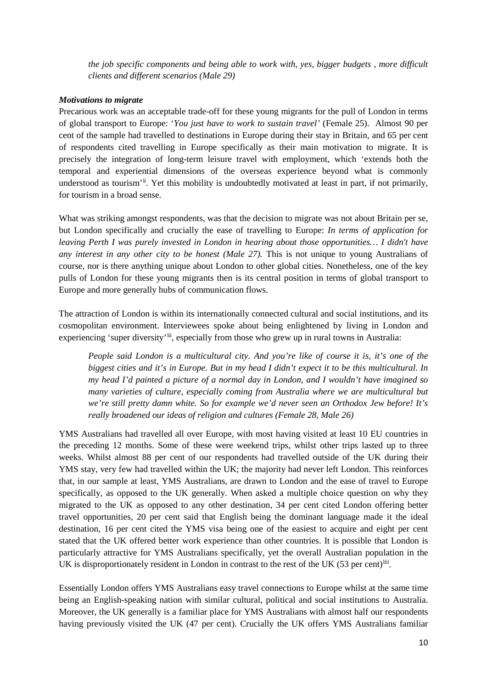*the job specific components and being able to work with, yes, bigger budgets , more difficult clients and different scenarios (Male 29)*

# *Motivations to migrate*

Precarious work was an acceptable trade-off for these young migrants for the pull of London in terms of global transport to Europe: '*You just have to work to sustain travel'* (Female 25). Almost 90 per cent of the sample had travelled to destinations in Europe during their stay in Britain, and 65 per cent of respondents cited travelling in Europe specifically as their main motivation to migrate. It is precisely the integration of long-term leisure travel with employment, which 'extends both the temporal and experiential dimensions of the overseas experience beyond what is commonly understood as tourism'<sup>[li](#page-5-6)</sup>. Yet this mobility is undoubtedly motivated at least in part, if not primarily, for tourism in a broad sense.

What was striking amongst respondents, was that the decision to migrate was not about Britain per se, but London specifically and crucially the ease of travelling to Europe: *In terms of application for leaving Perth I was purely invested in London in hearing about those opportunities… I didn't have any interest in any other city to be honest (Male 27).* This is not unique to young Australians of course, nor is there anything unique about London to other global cities. Nonetheless, one of the key pulls of London for these young migrants then is its central position in terms of global transport to Europe and more generally hubs of communication flows.

The attraction of London is within its internationally connected cultural and social institutions, and its cosmopolitan environment. Interviewees spoke about being enlightened by living in London and experiencing 'super diversity'<sup>lii</sup>, especially from those who grew up in rural towns in Australia:

*People said London is a multicultural city. And you're like of course it is, it's one of the biggest cities and it's in Europe. But in my head I didn't expect it to be this multicultural. In my head I'd painted a picture of a normal day in London, and I wouldn't have imagined so many varieties of culture, especially coming from Australia where we are multicultural but we're still pretty damn white. So for example we'd never seen an Orthodox Jew before! It's really broadened our ideas of religion and cultures (Female 28, Male 26)*

YMS Australians had travelled all over Europe, with most having visited at least 10 EU countries in the preceding 12 months. Some of these were weekend trips, whilst other trips lasted up to three weeks. Whilst almost 88 per cent of our respondents had travelled outside of the UK during their YMS stay, very few had travelled within the UK; the majority had never left London. This reinforces that, in our sample at least, YMS Australians, are drawn to London and the ease of travel to Europe specifically, as opposed to the UK generally. When asked a multiple choice question on why they migrated to the UK as opposed to any other destination, 34 per cent cited London offering better travel opportunities, 20 per cent said that English being the dominant language made it the ideal destination, 16 per cent cited the YMS visa being one of the easiest to acquire and eight per cent stated that the UK offered better work experience than other countries. It is possible that London is particularly attractive for YMS Australians specifically, yet the overall Australian population in the UK is disproportionately resident in London in contrast to the rest of the UK (53 per cent)<sup>liii</sup>.

Essentially London offers YMS Australians easy travel connections to Europe whilst at the same time being an English-speaking nation with similar cultural, political and social institutions to Australia. Moreover, the UK generally is a familiar place for YMS Australians with almost half our respondents having previously visited the UK (47 per cent). Crucially the UK offers YMS Australians familiar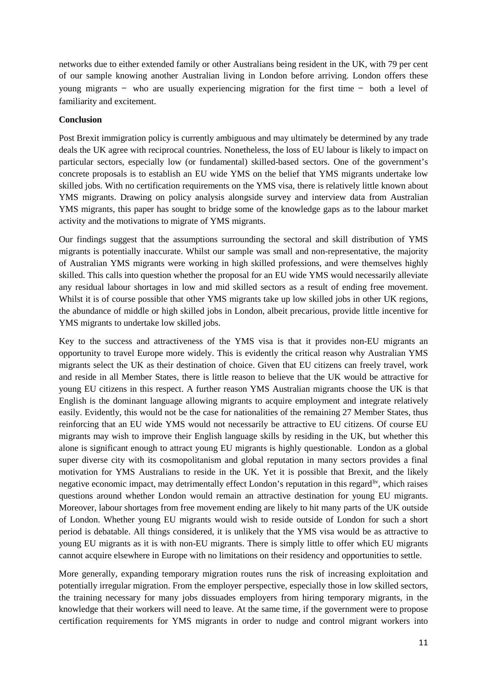networks due to either extended family or other Australians being resident in the UK, with 79 per cent of our sample knowing another Australian living in London before arriving. London offers these young migrants − who are usually experiencing migration for the first time − both a level of familiarity and excitement.

## **Conclusion**

Post Brexit immigration policy is currently ambiguous and may ultimately be determined by any trade deals the UK agree with reciprocal countries. Nonetheless, the loss of EU labour is likely to impact on particular sectors, especially low (or fundamental) skilled-based sectors. One of the government's concrete proposals is to establish an EU wide YMS on the belief that YMS migrants undertake low skilled jobs. With no certification requirements on the YMS visa, there is relatively little known about YMS migrants. Drawing on policy analysis alongside survey and interview data from Australian YMS migrants, this paper has sought to bridge some of the knowledge gaps as to the labour market activity and the motivations to migrate of YMS migrants.

Our findings suggest that the assumptions surrounding the sectoral and skill distribution of YMS migrants is potentially inaccurate. Whilst our sample was small and non-representative, the majority of Australian YMS migrants were working in high skilled professions, and were themselves highly skilled. This calls into question whether the proposal for an EU wide YMS would necessarily alleviate any residual labour shortages in low and mid skilled sectors as a result of ending free movement. Whilst it is of course possible that other YMS migrants take up low skilled jobs in other UK regions, the abundance of middle or high skilled jobs in London, albeit precarious, provide little incentive for YMS migrants to undertake low skilled jobs.

Key to the success and attractiveness of the YMS visa is that it provides non-EU migrants an opportunity to travel Europe more widely. This is evidently the critical reason why Australian YMS migrants select the UK as their destination of choice. Given that EU citizens can freely travel, work and reside in all Member States, there is little reason to believe that the UK would be attractive for young EU citizens in this respect. A further reason YMS Australian migrants choose the UK is that English is the dominant language allowing migrants to acquire employment and integrate relatively easily. Evidently, this would not be the case for nationalities of the remaining 27 Member States, thus reinforcing that an EU wide YMS would not necessarily be attractive to EU citizens. Of course EU migrants may wish to improve their English language skills by residing in the UK, but whether this alone is significant enough to attract young EU migrants is highly questionable. London as a global super diverse city with its cosmopolitanism and global reputation in many sectors provides a final motivation for YMS Australians to reside in the UK. Yet it is possible that Brexit, and the likely negative economic impact, may detrimentally effect London's reputation in this regard<sup>[liv](#page-5-9)</sup>, which raises questions around whether London would remain an attractive destination for young EU migrants. Moreover, labour shortages from free movement ending are likely to hit many parts of the UK outside of London. Whether young EU migrants would wish to reside outside of London for such a short period is debatable. All things considered, it is unlikely that the YMS visa would be as attractive to young EU migrants as it is with non-EU migrants. There is simply little to offer which EU migrants cannot acquire elsewhere in Europe with no limitations on their residency and opportunities to settle.

More generally, expanding temporary migration routes runs the risk of increasing exploitation and potentially irregular migration. From the employer perspective, especially those in low skilled sectors, the training necessary for many jobs dissuades employers from hiring temporary migrants, in the knowledge that their workers will need to leave. At the same time, if the government were to propose certification requirements for YMS migrants in order to nudge and control migrant workers into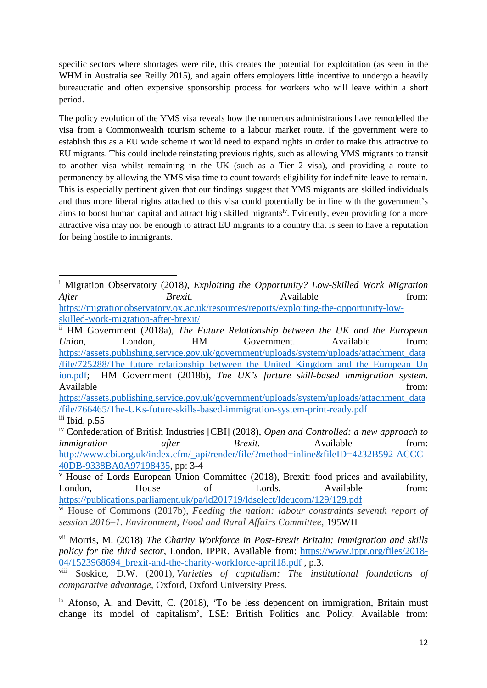specific sectors where shortages were rife, this creates the potential for exploitation (as seen in the WHM in Australia see Reilly 2015), and again offers employers little incentive to undergo a heavily bureaucratic and often expensive sponsorship process for workers who will leave within a short period.

The policy evolution of the YMS visa reveals how the numerous administrations have remodelled the visa from a Commonwealth tourism scheme to a labour market route. If the government were to establish this as a EU wide scheme it would need to expand rights in order to make this attractive to EU migrants. This could include reinstating previous rights, such as allowing YMS migrants to transit to another visa whilst remaining in the UK (such as a Tier 2 visa), and providing a route to permanency by allowing the YMS visa time to count towards eligibility for indefinite leave to remain. This is especially pertinent given that our findings suggest that YMS migrants are skilled individuals and thus more liberal rights attached to this visa could potentially be in line with the government's aims to boost human capital and attract high skilled migrants<sup>ly</sup>. Evidently, even providing for a more attractive visa may not be enough to attract EU migrants to a country that is seen to have a reputation for being hostile to immigrants.

**.** 

<sup>i</sup> Migration Observatory (2018*), Exploiting the Opportunity? Low-Skilled Work Migration After* Brexit. Brexit. Available from: [https://migrationobservatory.ox.ac.uk/resources/reports/exploiting-the-opportunity-low-](https://migrationobservatory.ox.ac.uk/resources/reports/exploiting-the-opportunity-low-skilled-work-migration-after-brexit/)

[skilled-work-migration-after-brexit/](https://migrationobservatory.ox.ac.uk/resources/reports/exploiting-the-opportunity-low-skilled-work-migration-after-brexit/)

ii HM Government (2018a), *The Future Relationship between the UK and the European Union*, London, HM Government. Available from: [https://assets.publishing.service.gov.uk/government/uploads/system/uploads/attachment\\_data](https://assets.publishing.service.gov.uk/government/uploads/system/uploads/attachment_data/file/725288/The_future_relationship_between_the_United_Kingdom_and_the_European_Union.pdf) [/file/725288/The\\_future\\_relationship\\_between\\_the\\_United\\_Kingdom\\_and\\_the\\_European\\_Un](https://assets.publishing.service.gov.uk/government/uploads/system/uploads/attachment_data/file/725288/The_future_relationship_between_the_United_Kingdom_and_the_European_Union.pdf) [ion.pdf;](https://assets.publishing.service.gov.uk/government/uploads/system/uploads/attachment_data/file/725288/The_future_relationship_between_the_United_Kingdom_and_the_European_Union.pdf) HM Government (2018b), *The UK's furture skill-based immigration system*. Available from:  $\blacksquare$ 

[https://assets.publishing.service.gov.uk/government/uploads/system/uploads/attachment\\_data](https://assets.publishing.service.gov.uk/government/uploads/system/uploads/attachment_data/file/766465/The-UKs-future-skills-based-immigration-system-print-ready.pdf) [/file/766465/The-UKs-future-skills-based-immigration-system-print-ready.pdf](https://assets.publishing.service.gov.uk/government/uploads/system/uploads/attachment_data/file/766465/The-UKs-future-skills-based-immigration-system-print-ready.pdf)  $\frac{\text{iii}}{\text{1}}$  Ibid, p.55

iv Confederation of British Industries [CBI] (2018), *Open and Controlled: a new approach to immigration after Brexit.* Available from: [http://www.cbi.org.uk/index.cfm/\\_api/render/file/?method=inline&fileID=4232B592-ACCC-](http://www.cbi.org.uk/index.cfm/_api/render/file/?method=inline&fileID=4232B592-ACCC-40DB-9338BA0A97198435)[40DB-9338BA0A97198435,](http://www.cbi.org.uk/index.cfm/_api/render/file/?method=inline&fileID=4232B592-ACCC-40DB-9338BA0A97198435) pp: 3-4

<sup>v</sup> House of Lords European Union Committee (2018), Brexit: food prices and availability, London, House of Lords. Available from: <https://publications.parliament.uk/pa/ld201719/ldselect/ldeucom/129/129.pdf>

vi House of Commons (2017b), *Feeding the nation: labour constraints seventh report of* 

*session 2016–1. Environment, Food and Rural Affairs Committee,* 195WH

vii Morris, M. (2018) *The Charity Workforce in Post-Brexit Britain: Immigration and skills policy for the third sector*, London, IPPR. Available from: [https://www.ippr.org/files/2018-](https://www.ippr.org/files/2018-04/1523968694_brexit-and-the-charity-workforce-april18.pdf)  $\frac{04/1523968694\text{ }\text{brexit-and-the-charity-workforce-april18.pdf}}{\text{V}}$ , p.3.<br>  $\frac{04/1523968694\text{ }\text{brexit-and-the-charity-workforce-april18.pdf}}{\text{V}}$ , p.3.

Soskice, D.W. (2001), *Varieties of capitalism: The institutional foundations of comparative advantage*, Oxford, Oxford University Press.

<sup>&</sup>lt;sup>ix</sup> Afonso, A. and Devitt, C. (2018), 'To be less dependent on immigration, Britain must change its model of capitalism', LSE: British Politics and Policy. Available from: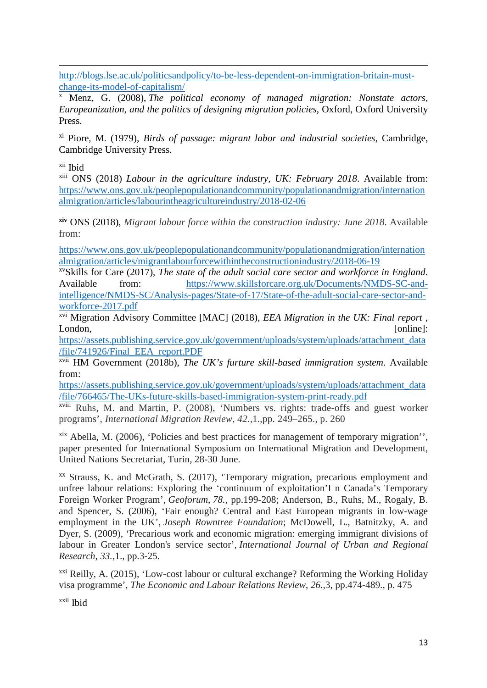$\overline{a}$ [http://blogs.lse.ac.uk/politicsandpolicy/to-be-less-dependent-on-immigration-britain-must](http://blogs.lse.ac.uk/politicsandpolicy/to-be-less-dependent-on-immigration-britain-must-change-its-model-of-capitalism/)[change-its-model-of-capitalism/](http://blogs.lse.ac.uk/politicsandpolicy/to-be-less-dependent-on-immigration-britain-must-change-its-model-of-capitalism/)

<sup>x</sup> Menz, G. (2008), *The political economy of managed migration: Nonstate actors, Europeanization, and the politics of designing migration policies*, Oxford, Oxford University Press.

xi Piore, M. (1979), *Birds of passage: migrant labor and industrial societies*, Cambridge, Cambridge University Press.

xii Ibid

xiii ONS (2018) *Labour in the agriculture industry, UK: February 2018*. Available from: [https://www.ons.gov.uk/peoplepopulationandcommunity/populationandmigration/internation](https://www.ons.gov.uk/peoplepopulationandcommunity/populationandmigration/internationalmigration/articles/labourintheagricultureindustry/2018-02-06) [almigration/articles/labourintheagricultureindustry/2018-02-06](https://www.ons.gov.uk/peoplepopulationandcommunity/populationandmigration/internationalmigration/articles/labourintheagricultureindustry/2018-02-06)

**xiv** ONS (2018), *Migrant labour force within the construction industry: June 2018*. Available from:

[https://www.ons.gov.uk/peoplepopulationandcommunity/populationandmigration/internation](https://www.ons.gov.uk/peoplepopulationandcommunity/populationandmigration/internationalmigration/articles/migrantlabourforcewithintheconstructionindustry/2018-06-19) [almigration/articles/migrantlabourforcewithintheconstructionindustry/2018-06-19](https://www.ons.gov.uk/peoplepopulationandcommunity/populationandmigration/internationalmigration/articles/migrantlabourforcewithintheconstructionindustry/2018-06-19)

xvSkills for Care (2017), *The state of the adult social care sector and workforce in England*. Available from: [https://www.skillsforcare.org.uk/Documents/NMDS-SC-and](https://www.skillsforcare.org.uk/Documents/NMDS-SC-and-intelligence/NMDS-SC/Analysis-pages/State-of-17/State-of-the-adult-social-care-sector-and-workforce-2017.pdf)[intelligence/NMDS-SC/Analysis-pages/State-of-17/State-of-the-adult-social-care-sector-and](https://www.skillsforcare.org.uk/Documents/NMDS-SC-and-intelligence/NMDS-SC/Analysis-pages/State-of-17/State-of-the-adult-social-care-sector-and-workforce-2017.pdf)[workforce-2017.pdf](https://www.skillsforcare.org.uk/Documents/NMDS-SC-and-intelligence/NMDS-SC/Analysis-pages/State-of-17/State-of-the-adult-social-care-sector-and-workforce-2017.pdf)

xvi Migration Advisory Committee [MAC] (2018), *EEA Migration in the UK: Final report* , London, [online]:

[https://assets.publishing.service.gov.uk/government/uploads/system/uploads/attachment\\_data](https://assets.publishing.service.gov.uk/government/uploads/system/uploads/attachment_data/file/741926/Final_EEA_report.PDF) [/file/741926/Final\\_EEA\\_report.PDF](https://assets.publishing.service.gov.uk/government/uploads/system/uploads/attachment_data/file/741926/Final_EEA_report.PDF)

xvii HM Government (2018b), *The UK's furture skill-based immigration system*. Available from:

[https://assets.publishing.service.gov.uk/government/uploads/system/uploads/attachment\\_data](https://assets.publishing.service.gov.uk/government/uploads/system/uploads/attachment_data/file/766465/The-UKs-future-skills-based-immigration-system-print-ready.pdf) [/file/766465/The-UKs-future-skills-based-immigration-system-print-ready.pdf](https://assets.publishing.service.gov.uk/government/uploads/system/uploads/attachment_data/file/766465/The-UKs-future-skills-based-immigration-system-print-ready.pdf)

xviii Ruhs, M. and Martin, P. (2008), 'Numbers vs. rights: trade-offs and guest worker programs', *International Migration Review, 42.*,1.,pp. 249–265., p. 260

xix Abella, M. (2006), 'Policies and best practices for management of temporary migration'', paper presented for International Symposium on International Migration and Development, United Nations Secretariat, Turin, 28-30 June.

xx Strauss, K. and McGrath, S. (2017), 'Temporary migration, precarious employment and unfree labour relations: Exploring the 'continuum of exploitation'I n Canada's Temporary Foreign Worker Program', *Geoforum*, *78.*, pp.199-208; Anderson, B., Ruhs, M., Rogaly, B. and Spencer, S. (2006), 'Fair enough? Central and East European migrants in low-wage employment in the UK', *Joseph Rowntree Foundation*; McDowell, L., Batnitzky, A. and Dyer, S. (2009), 'Precarious work and economic migration: emerging immigrant divisions of labour in Greater London's service sector', *International Journal of Urban and Regional Research*, *33.,*1., pp.3-25.

xxi Reilly, A. (2015), 'Low-cost labour or cultural exchange? Reforming the Working Holiday visa programme', *The Economic and Labour Relations Review*, *26.,*3, pp.474-489., p. 475

xxii Ibid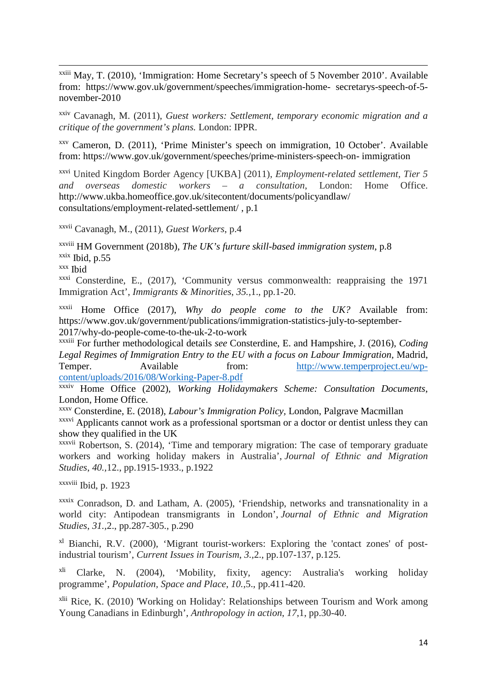xxiii May, T. (2010), 'Immigration: Home Secretary's speech of 5 November 2010'. Available from: https://www.gov.uk/government/speeches/immigration-home- secretarys-speech-of-5 november-2010

xxiv Cavanagh, M. (2011), *Guest workers: Settlement, temporary economic migration and a critique of the government's plans.* London: IPPR.

xxv Cameron, D. (2011), 'Prime Minister's speech on immigration, 10 October'. Available from: https://www.gov.uk/government/speeches/prime-ministers-speech-on- immigration

xxvi United Kingdom Border Agency [UKBA] (2011), *Employment-related settlement, Tier 5 and overseas domestic workers – a consultation*, London: Home Office. http://www.ukba.homeoffice.gov.uk/sitecontent/documents/policyandlaw/ consultations/employment-related-settlement/ , p.1

xxvii Cavanagh, M., (2011), *Guest Workers*, p.4

xxviii HM Government (2018b), *The UK's furture skill-based immigration system*, p.8  $x$ <sup>xxix</sup> Ibid, p.55

xxx Ibid

 $\overline{a}$ 

xxxi Consterdine, E., (2017), 'Community versus commonwealth: reappraising the 1971 Immigration Act', *Immigrants & Minorities*, *35.,*1., pp.1-20.

xxxii Home Office (2017), *Why do people come to the UK?* Available from: https://www.gov.uk/government/publications/immigration-statistics-july-to-september-2017/why-do-people-come-to-the-uk-2-to-work

xxxiii For further methodological details *see* Consterdine, E. and Hampshire, J. (2016), *Coding Legal Regimes of Immigration Entry to the EU with a focus on Labour Immigration,* Madrid, Temper. Available from: [http://www.temperproject.eu/wp](http://www.temperproject.eu/wp-content/uploads/2016/08/Working-Paper-8.pdf)[content/uploads/2016/08/Working-Paper-8.pdf](http://www.temperproject.eu/wp-content/uploads/2016/08/Working-Paper-8.pdf)

xxxiv Home Office (2002), *Working Holidaymakers Scheme: Consultation Documents*, London, Home Office.

xxxv Consterdine, E. (2018), *Labour's Immigration Policy,* London, Palgrave Macmillan xxxvi Applicants cannot work as a professional sportsman or a doctor or dentist unless they can show they qualified in the UK

xxxvii Robertson, S. (2014), 'Time and temporary migration: The case of temporary graduate workers and working holiday makers in Australia', *Journal of Ethnic and Migration Studies*, *40.,*12., pp.1915-1933., p.1922

xxxviii Ibid, p. 1923

xxxix Conradson, D. and Latham, A. (2005), 'Friendship, networks and transnationality in a world city: Antipodean transmigrants in London', *Journal of Ethnic and Migration Studies*, *31.,*2., pp.287-305., p.290

xl Bianchi, R.V. (2000), 'Migrant tourist-workers: Exploring the 'contact zones' of postindustrial tourism', *Current Issues in Tourism*, *3.,*2., pp.107-137, p.125.

xli Clarke, N. (2004), 'Mobility, fixity, agency: Australia's working holiday programme', *Population, Space and Place*, *10.*,5., pp.411-420.

xlii Rice, K. (2010) 'Working on Holiday': Relationships between Tourism and Work among Young Canadians in Edinburgh', *Anthropology in action*, *17*,1, pp.30-40.